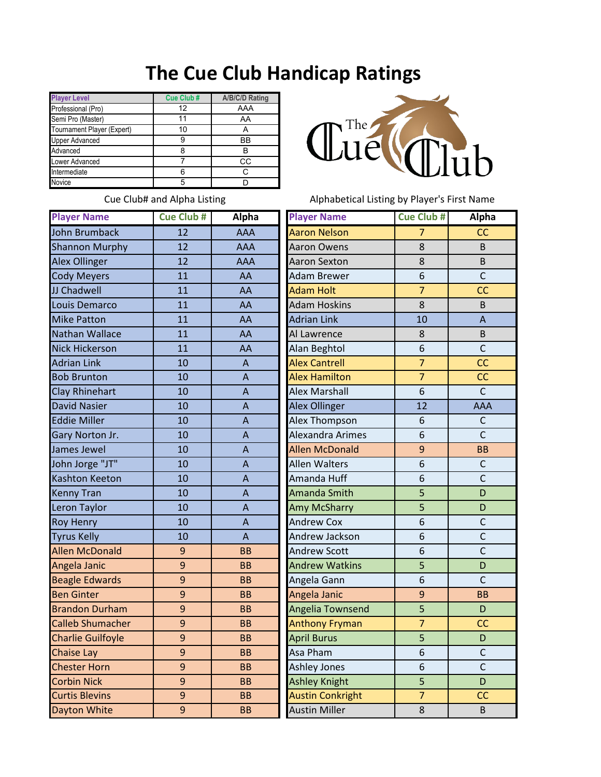## **The Cue Club Handicap Ratings**

| <b>Player Level</b>        | Cue Club# | A/B/C/D Rating |  |
|----------------------------|-----------|----------------|--|
| Professional (Pro)         | 12        | AAA            |  |
| Semi Pro (Master)          | 11        | AA             |  |
| Tournament Player (Expert) | 10        | А              |  |
| <b>Upper Advanced</b>      | 9         | ВB             |  |
| Advanced                   | ጸ         | в              |  |
| Lower Advanced             |           | CС             |  |
| Intermediate               |           | C              |  |
| ovice                      | 5         |                |  |



Cue Club# and Alpha Listing

| <b>Player Name</b>       | <b>Cue Club #</b> | <b>Alpha</b>              | <b>Player Name</b>      | <b>Cue Club#</b> | Alpha                     |
|--------------------------|-------------------|---------------------------|-------------------------|------------------|---------------------------|
| John Brumback            | 12                | AAA                       | <b>Aaron Nelson</b>     | $\overline{7}$   | CC                        |
| <b>Shannon Murphy</b>    | 12                | AAA                       | <b>Aaron Owens</b>      | 8                | B                         |
| <b>Alex Ollinger</b>     | 12                | AAA                       | <b>Aaron Sexton</b>     | 8                | B.                        |
| <b>Cody Meyers</b>       | 11                | AA                        | <b>Adam Brewer</b>      | 6                | $\mathsf{C}$              |
| JJ Chadwell              | 11                | AA                        | <b>Adam Holt</b>        | $\overline{7}$   | CC                        |
| Louis Demarco            | 11                | AA                        | <b>Adam Hoskins</b>     | 8                | B                         |
| <b>Mike Patton</b>       | 11                | AA                        | <b>Adrian Link</b>      | 10               | $\boldsymbol{\mathsf{A}}$ |
| <b>Nathan Wallace</b>    | 11                | AA                        | Al Lawrence             | 8                | B                         |
| <b>Nick Hickerson</b>    | 11                | AA                        | Alan Beghtol            | 6                | $\mathsf{C}$              |
| <b>Adrian Link</b>       | 10                | $\boldsymbol{\mathsf{A}}$ | <b>Alex Cantrell</b>    | $\overline{7}$   | CC                        |
| <b>Bob Brunton</b>       | 10                | $\overline{A}$            | <b>Alex Hamilton</b>    | $\overline{7}$   | CC                        |
| Clay Rhinehart           | 10                | $\overline{A}$            | <b>Alex Marshall</b>    | 6                | $\mathsf{C}$              |
| <b>David Nasier</b>      | 10                | $\overline{\mathsf{A}}$   | Alex Ollinger           | 12               | AAA                       |
| <b>Eddie Miller</b>      | 10                | $\overline{\mathsf{A}}$   | Alex Thompson           | 6                | $\mathsf{C}$              |
| Gary Norton Jr.          | 10                | $\boldsymbol{\mathsf{A}}$ | Alexandra Arimes        | 6                | $\mathsf{C}$              |
| James Jewel              | 10                | $\boldsymbol{\mathsf{A}}$ | <b>Allen McDonald</b>   | $\overline{9}$   | <b>BB</b>                 |
| John Jorge "JT"          | 10                | $\overline{\mathsf{A}}$   | <b>Allen Walters</b>    | 6                | $\mathsf{C}$              |
| <b>Kashton Keeton</b>    | 10                | $\overline{A}$            | Amanda Huff             | 6                | $\mathsf{C}$              |
| <b>Kenny Tran</b>        | 10                | $\overline{A}$            | <b>Amanda Smith</b>     | 5                | D                         |
| Leron Taylor             | 10                | $\overline{A}$            | Amy McSharry            | $\overline{5}$   | D                         |
| <b>Roy Henry</b>         | 10                | $\boldsymbol{\mathsf{A}}$ | <b>Andrew Cox</b>       | 6                | $\mathsf C$               |
| <b>Tyrus Kelly</b>       | 10                | $\overline{A}$            | Andrew Jackson          | $\boldsymbol{6}$ | $\mathsf{C}$              |
| <b>Allen McDonald</b>    | $\boldsymbol{9}$  | <b>BB</b>                 | <b>Andrew Scott</b>     | 6                | $\mathsf{C}$              |
| Angela Janic             | 9                 | <b>BB</b>                 | <b>Andrew Watkins</b>   | 5                | D                         |
| <b>Beagle Edwards</b>    | $\overline{9}$    | <b>BB</b>                 | Angela Gann             | 6                | $\mathsf{C}$              |
| <b>Ben Ginter</b>        | 9                 | <b>BB</b>                 | Angela Janic            | 9                | <b>BB</b>                 |
| <b>Brandon Durham</b>    | 9                 | <b>BB</b>                 | Angelia Townsend        | $\overline{5}$   | D                         |
| <b>Calleb Shumacher</b>  | 9                 | <b>BB</b>                 | <b>Anthony Fryman</b>   | $\overline{7}$   | CC                        |
| <b>Charlie Guilfoyle</b> | $\boldsymbol{9}$  | BB                        | <b>April Burus</b>      | 5                | D                         |
| <b>Chaise Lay</b>        | 9                 | <b>BB</b>                 | Asa Pham                | 6                | $\mathsf{C}$              |
| <b>Chester Horn</b>      | 9                 | <b>BB</b>                 | Ashley Jones            | 6                | $\mathsf{C}$              |
| <b>Corbin Nick</b>       | 9                 | <b>BB</b>                 | <b>Ashley Knight</b>    | 5                | D                         |
| <b>Curtis Blevins</b>    | $\overline{9}$    | <b>BB</b>                 | <b>Austin Conkright</b> | $\overline{7}$   | CC                        |
| Dayton White             | 9                 | <b>BB</b>                 | <b>Austin Miller</b>    | 8                | B                         |

Alphabetical Listing by Player's First Name

| <b>Player Name</b>      | <b>Cue Club #</b> | <b>Alpha</b>            |
|-------------------------|-------------------|-------------------------|
| <b>Aaron Nelson</b>     | 7                 | cc                      |
| <b>Aaron Owens</b>      | 8                 | B                       |
| <b>Aaron Sexton</b>     | 8                 | B                       |
| <b>Adam Brewer</b>      | 6                 | Ċ                       |
| <b>Adam Holt</b>        | $\overline{7}$    | cc                      |
| <b>Adam Hoskins</b>     | 8                 | B                       |
| <b>Adrian Link</b>      | 10                | $\overline{\mathsf{A}}$ |
| Al Lawrence             | 8                 | B                       |
| Alan Beghtol            | 6                 | $\overline{C}$          |
| <b>Alex Cantrell</b>    | $\overline{7}$    | cc                      |
| <b>Alex Hamilton</b>    | $\overline{7}$    | cc                      |
| <b>Alex Marshall</b>    | 6                 | Ċ                       |
| <b>Alex Ollinger</b>    | $\overline{12}$   | <b>AAA</b>              |
| Alex Thompson           | 6                 | $\mathsf{C}$            |
| <b>Alexandra Arimes</b> | 6                 | $\overline{C}$          |
| <b>Allen McDonald</b>   | 9                 | <b>BB</b>               |
| <b>Allen Walters</b>    | 6                 | $\mathsf{C}$            |
| Amanda Huff             | 6                 | $\overline{C}$          |
| <b>Amanda Smith</b>     | 5                 | D                       |
| Amy McSharry            | 5                 | D                       |
| <b>Andrew Cox</b>       | 6                 | $\mathsf{C}$            |
| Andrew Jackson          | 6                 | C                       |
| <b>Andrew Scott</b>     | 6                 | Ċ                       |
| <b>Andrew Watkins</b>   | 5                 | D                       |
| Angela Gann             | 6                 | $\overline{C}$          |
| Angela Janic            | 9                 | BB                      |
| Angelia Townsend        | 5                 | D                       |
| <b>Anthony Fryman</b>   | $\overline{7}$    | cc                      |
| <b>April Burus</b>      | 5                 | D                       |
| Asa Pham                | 6                 | C                       |
| <b>Ashley Jones</b>     | 6                 | Ċ                       |
| <b>Ashley Knight</b>    | 5                 | D                       |
| <b>Austin Conkright</b> | $\overline{7}$    | cc                      |
| <b>Austin Miller</b>    | 8                 | B                       |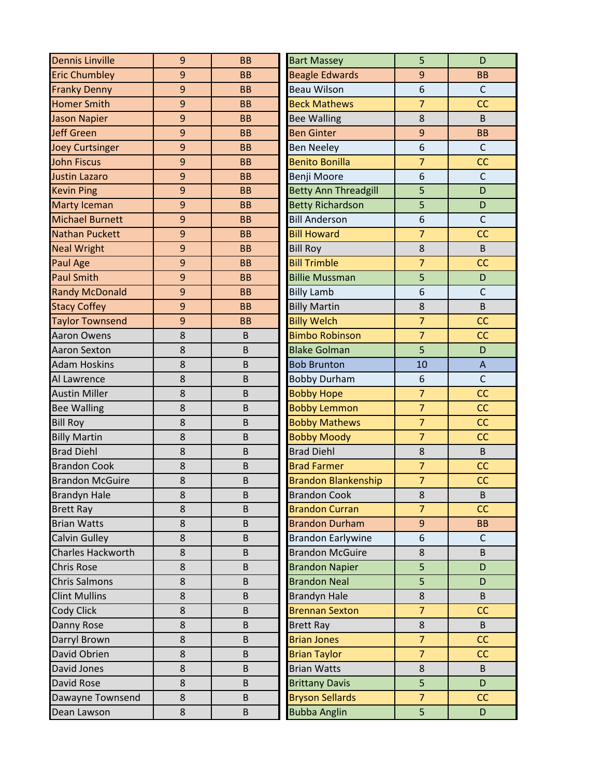| <b>Dennis Linville</b> | 9              | <b>BB</b> | <b>Bart Massey</b>          | 5              | D                         |
|------------------------|----------------|-----------|-----------------------------|----------------|---------------------------|
| <b>Eric Chumbley</b>   | 9              | <b>BB</b> | <b>Beagle Edwards</b>       | 9              | <b>BB</b>                 |
| <b>Franky Denny</b>    | 9              | <b>BB</b> | <b>Beau Wilson</b>          | 6              | $\mathsf{C}$              |
| <b>Homer Smith</b>     | 9              | <b>BB</b> | <b>Beck Mathews</b>         | $\overline{7}$ | CC                        |
| <b>Jason Napier</b>    | 9              | <b>BB</b> | <b>Bee Walling</b>          | 8              | B                         |
| <b>Jeff Green</b>      | $\overline{9}$ | <b>BB</b> | <b>Ben Ginter</b>           | 9              | <b>BB</b>                 |
| <b>Joey Curtsinger</b> | 9              | <b>BB</b> | <b>Ben Neeley</b>           | 6              | $\mathsf{C}$              |
| <b>John Fiscus</b>     | 9              | <b>BB</b> | <b>Benito Bonilla</b>       | $\overline{7}$ | CC                        |
| <b>Justin Lazaro</b>   | 9              | <b>BB</b> | Benji Moore                 | 6              | $\mathsf{C}$              |
| <b>Kevin Ping</b>      | 9              | <b>BB</b> | <b>Betty Ann Threadgill</b> | 5              | D                         |
| <b>Marty Iceman</b>    | 9              | <b>BB</b> | <b>Betty Richardson</b>     | 5              | D                         |
| <b>Michael Burnett</b> | 9              | <b>BB</b> | <b>Bill Anderson</b>        | 6              | $\mathsf{C}$              |
| <b>Nathan Puckett</b>  | $\overline{9}$ | <b>BB</b> | <b>Bill Howard</b>          | $\overline{7}$ | CC                        |
| <b>Neal Wright</b>     | 9              | <b>BB</b> | <b>Bill Roy</b>             | 8              | B                         |
| Paul Age               | 9              | <b>BB</b> | <b>Bill Trimble</b>         | $\overline{7}$ | CC                        |
| <b>Paul Smith</b>      | 9              | <b>BB</b> | <b>Billie Mussman</b>       | 5              | D                         |
| <b>Randy McDonald</b>  | $\overline{9}$ | <b>BB</b> | <b>Billy Lamb</b>           | 6              | $\mathsf{C}$              |
| <b>Stacy Coffey</b>    | 9              | <b>BB</b> | <b>Billy Martin</b>         | 8              | B                         |
| <b>Taylor Townsend</b> | 9              | <b>BB</b> | <b>Billy Welch</b>          | $\overline{7}$ | CC                        |
| Aaron Owens            | 8              | B         | <b>Bimbo Robinson</b>       | $\overline{7}$ | CC                        |
| Aaron Sexton           | 8              | B         | <b>Blake Golman</b>         | 5              | D                         |
| <b>Adam Hoskins</b>    | 8              | B         | <b>Bob Brunton</b>          | 10             | $\boldsymbol{\mathsf{A}}$ |
| Al Lawrence            | 8              | B         | <b>Bobby Durham</b>         | 6              | $\mathsf{C}$              |
| <b>Austin Miller</b>   | 8              | B         | <b>Bobby Hope</b>           | $\overline{7}$ | CC                        |
| <b>Bee Walling</b>     | 8              | B         | <b>Bobby Lemmon</b>         | $\overline{7}$ | CC                        |
| <b>Bill Roy</b>        | 8              | B         | <b>Bobby Mathews</b>        | $\overline{7}$ | CC                        |
| <b>Billy Martin</b>    | 8              | B         | <b>Bobby Moody</b>          | $\overline{7}$ | CC                        |
| <b>Brad Diehl</b>      | 8              | B         | <b>Brad Diehl</b>           | 8              | B                         |
| <b>Brandon Cook</b>    | 8              | B         | <b>Brad Farmer</b>          | $\overline{7}$ | CC                        |
| <b>Brandon McGuire</b> | 8              | B         | <b>Brandon Blankenship</b>  | $\overline{7}$ | CC                        |
| <b>Brandyn Hale</b>    | 8              | $\sf B$   | <b>Brandon Cook</b>         | 8              | $\sf B$                   |
| <b>Brett Ray</b>       | 8              | B         | <b>Brandon Curran</b>       | $\overline{7}$ | CC                        |
| <b>Brian Watts</b>     | 8              | B         | <b>Brandon Durham</b>       | 9              | <b>BB</b>                 |
| Calvin Gulley          | 8              | B         | <b>Brandon Earlywine</b>    | 6              | $\mathsf{C}$              |
| Charles Hackworth      | 8              | B         | <b>Brandon McGuire</b>      | $\bf 8$        | B                         |
| Chris Rose             | 8              | B         | <b>Brandon Napier</b>       | 5              | D                         |
| Chris Salmons          | 8              | B         | <b>Brandon Neal</b>         | 5              | D                         |
| <b>Clint Mullins</b>   | 8              | B         | <b>Brandyn Hale</b>         | 8              | B                         |
| Cody Click             | 8              | B         | <b>Brennan Sexton</b>       | $\overline{7}$ | CC                        |
| Danny Rose             | 8              | B         | <b>Brett Ray</b>            | 8              | B                         |
| Darryl Brown           | 8              | B         | <b>Brian Jones</b>          | $\overline{7}$ | CC                        |
| David Obrien           | 8              | B         | <b>Brian Taylor</b>         | $\overline{7}$ | CC                        |
| David Jones            | 8              | B         | <b>Brian Watts</b>          | 8              | B                         |
| David Rose             | 8              | B         | <b>Brittany Davis</b>       | 5              | D                         |
| Dawayne Townsend       | 8              | B         | <b>Bryson Sellards</b>      | $\overline{7}$ | CC                        |
| Dean Lawson            | 8              | B         | <b>Bubba Anglin</b>         | 5              | D                         |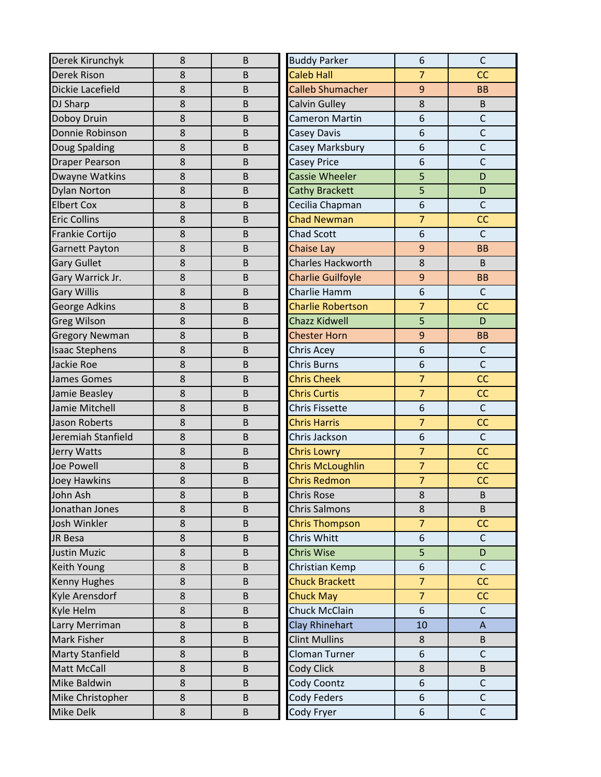| $\overline{7}$<br>8<br><b>Caleb Hall</b><br>Derek Rison<br><b>CC</b><br>B<br>8<br><b>Calleb Shumacher</b><br>9<br>Dickie Lacefield<br>B<br><b>BB</b><br>8<br>8<br>$\sf B$<br><b>Calvin Gulley</b><br>$\sf B$<br>DJ Sharp<br>Doboy Druin<br>8<br>6<br>$\mathsf{C}$<br>B<br><b>Cameron Martin</b><br>$\mathsf{C}$<br>8<br>6<br>Donnie Robinson<br>B<br>Casey Davis<br>$\mathsf{C}$<br>Doug Spalding<br>8<br>6<br>$\sf B$<br>Casey Marksbury<br>$\mathsf{C}$<br>8<br>6<br><b>Draper Pearson</b><br>$\sf B$<br><b>Casey Price</b><br>8<br><b>Cassie Wheeler</b><br>5<br>Dwayne Watkins<br>D<br>$\sf B$<br>5<br>8<br>D<br><b>Dylan Norton</b><br>B<br><b>Cathy Brackett</b><br>$\mathsf C$<br><b>Elbert Cox</b><br>8<br>Cecilia Chapman<br>6<br>$\sf B$<br>$\overline{7}$<br>CC<br>8<br><b>Chad Newman</b><br><b>Eric Collins</b><br>$\sf B$<br>6<br>$\mathsf{C}$<br>Frankie Cortijo<br>8<br>$\sf B$<br><b>Chad Scott</b><br>8<br>9<br><b>BB</b><br><b>Garnett Payton</b><br>B<br><b>Chaise Lay</b><br>8<br>8<br><b>Gary Gullet</b><br>Charles Hackworth<br>B<br>B<br>Gary Warrick Jr.<br>8<br><b>Charlie Guilfoyle</b><br>9<br>$\mathsf B$<br><b>BB</b><br>8<br>Charlie Hamm<br>6<br>$\mathsf C$<br>Gary Willis<br>$\sf B$<br>George Adkins<br>8<br><b>Charlie Robertson</b><br>$\overline{7}$<br>B<br>CC<br>5<br>8<br>D<br><b>Greg Wilson</b><br>B<br><b>Chazz Kidwell</b> |
|-------------------------------------------------------------------------------------------------------------------------------------------------------------------------------------------------------------------------------------------------------------------------------------------------------------------------------------------------------------------------------------------------------------------------------------------------------------------------------------------------------------------------------------------------------------------------------------------------------------------------------------------------------------------------------------------------------------------------------------------------------------------------------------------------------------------------------------------------------------------------------------------------------------------------------------------------------------------------------------------------------------------------------------------------------------------------------------------------------------------------------------------------------------------------------------------------------------------------------------------------------------------------------------------------------------------------------------------------------------------------|
|                                                                                                                                                                                                                                                                                                                                                                                                                                                                                                                                                                                                                                                                                                                                                                                                                                                                                                                                                                                                                                                                                                                                                                                                                                                                                                                                                                         |
|                                                                                                                                                                                                                                                                                                                                                                                                                                                                                                                                                                                                                                                                                                                                                                                                                                                                                                                                                                                                                                                                                                                                                                                                                                                                                                                                                                         |
|                                                                                                                                                                                                                                                                                                                                                                                                                                                                                                                                                                                                                                                                                                                                                                                                                                                                                                                                                                                                                                                                                                                                                                                                                                                                                                                                                                         |
|                                                                                                                                                                                                                                                                                                                                                                                                                                                                                                                                                                                                                                                                                                                                                                                                                                                                                                                                                                                                                                                                                                                                                                                                                                                                                                                                                                         |
|                                                                                                                                                                                                                                                                                                                                                                                                                                                                                                                                                                                                                                                                                                                                                                                                                                                                                                                                                                                                                                                                                                                                                                                                                                                                                                                                                                         |
|                                                                                                                                                                                                                                                                                                                                                                                                                                                                                                                                                                                                                                                                                                                                                                                                                                                                                                                                                                                                                                                                                                                                                                                                                                                                                                                                                                         |
|                                                                                                                                                                                                                                                                                                                                                                                                                                                                                                                                                                                                                                                                                                                                                                                                                                                                                                                                                                                                                                                                                                                                                                                                                                                                                                                                                                         |
|                                                                                                                                                                                                                                                                                                                                                                                                                                                                                                                                                                                                                                                                                                                                                                                                                                                                                                                                                                                                                                                                                                                                                                                                                                                                                                                                                                         |
|                                                                                                                                                                                                                                                                                                                                                                                                                                                                                                                                                                                                                                                                                                                                                                                                                                                                                                                                                                                                                                                                                                                                                                                                                                                                                                                                                                         |
|                                                                                                                                                                                                                                                                                                                                                                                                                                                                                                                                                                                                                                                                                                                                                                                                                                                                                                                                                                                                                                                                                                                                                                                                                                                                                                                                                                         |
|                                                                                                                                                                                                                                                                                                                                                                                                                                                                                                                                                                                                                                                                                                                                                                                                                                                                                                                                                                                                                                                                                                                                                                                                                                                                                                                                                                         |
|                                                                                                                                                                                                                                                                                                                                                                                                                                                                                                                                                                                                                                                                                                                                                                                                                                                                                                                                                                                                                                                                                                                                                                                                                                                                                                                                                                         |
|                                                                                                                                                                                                                                                                                                                                                                                                                                                                                                                                                                                                                                                                                                                                                                                                                                                                                                                                                                                                                                                                                                                                                                                                                                                                                                                                                                         |
|                                                                                                                                                                                                                                                                                                                                                                                                                                                                                                                                                                                                                                                                                                                                                                                                                                                                                                                                                                                                                                                                                                                                                                                                                                                                                                                                                                         |
|                                                                                                                                                                                                                                                                                                                                                                                                                                                                                                                                                                                                                                                                                                                                                                                                                                                                                                                                                                                                                                                                                                                                                                                                                                                                                                                                                                         |
|                                                                                                                                                                                                                                                                                                                                                                                                                                                                                                                                                                                                                                                                                                                                                                                                                                                                                                                                                                                                                                                                                                                                                                                                                                                                                                                                                                         |
|                                                                                                                                                                                                                                                                                                                                                                                                                                                                                                                                                                                                                                                                                                                                                                                                                                                                                                                                                                                                                                                                                                                                                                                                                                                                                                                                                                         |
|                                                                                                                                                                                                                                                                                                                                                                                                                                                                                                                                                                                                                                                                                                                                                                                                                                                                                                                                                                                                                                                                                                                                                                                                                                                                                                                                                                         |
| <b>Gregory Newman</b><br>8<br><b>Chester Horn</b><br>9<br>$\sf B$<br><b>BB</b>                                                                                                                                                                                                                                                                                                                                                                                                                                                                                                                                                                                                                                                                                                                                                                                                                                                                                                                                                                                                                                                                                                                                                                                                                                                                                          |
| $\mathsf{C}$<br>8<br>6<br><b>Isaac Stephens</b><br>$\mathsf B$<br>Chris Acey                                                                                                                                                                                                                                                                                                                                                                                                                                                                                                                                                                                                                                                                                                                                                                                                                                                                                                                                                                                                                                                                                                                                                                                                                                                                                            |
| $\mathsf{C}$<br>8<br>6<br>Jackie Roe<br><b>Chris Burns</b><br>$\sf B$                                                                                                                                                                                                                                                                                                                                                                                                                                                                                                                                                                                                                                                                                                                                                                                                                                                                                                                                                                                                                                                                                                                                                                                                                                                                                                   |
| $\overline{7}$<br>8<br>CC<br>B<br><b>Chris Cheek</b><br>James Gomes                                                                                                                                                                                                                                                                                                                                                                                                                                                                                                                                                                                                                                                                                                                                                                                                                                                                                                                                                                                                                                                                                                                                                                                                                                                                                                     |
| $\overline{7}$<br>8<br><b>Chris Curtis</b><br>CC<br>$\sf B$<br>Jamie Beasley                                                                                                                                                                                                                                                                                                                                                                                                                                                                                                                                                                                                                                                                                                                                                                                                                                                                                                                                                                                                                                                                                                                                                                                                                                                                                            |
| $\mathsf{C}$<br>6<br>8<br>Jamie Mitchell<br>$\sf B$<br><b>Chris Fissette</b>                                                                                                                                                                                                                                                                                                                                                                                                                                                                                                                                                                                                                                                                                                                                                                                                                                                                                                                                                                                                                                                                                                                                                                                                                                                                                            |
| $\overline{7}$<br><b>Jason Roberts</b><br>8<br>$\sf B$<br><b>Chris Harris</b><br>CC                                                                                                                                                                                                                                                                                                                                                                                                                                                                                                                                                                                                                                                                                                                                                                                                                                                                                                                                                                                                                                                                                                                                                                                                                                                                                     |
| 6<br>$\mathsf{C}$<br>Jeremiah Stanfield<br>8<br>B<br>Chris Jackson                                                                                                                                                                                                                                                                                                                                                                                                                                                                                                                                                                                                                                                                                                                                                                                                                                                                                                                                                                                                                                                                                                                                                                                                                                                                                                      |
| $\overline{7}$<br>CC<br>8<br>Jerry Watts<br>$\sf B$<br><b>Chris Lowry</b>                                                                                                                                                                                                                                                                                                                                                                                                                                                                                                                                                                                                                                                                                                                                                                                                                                                                                                                                                                                                                                                                                                                                                                                                                                                                                               |
| $\overline{7}$<br>8<br><b>Chris McLoughlin</b><br>CC<br>Joe Powell<br>$\sf B$                                                                                                                                                                                                                                                                                                                                                                                                                                                                                                                                                                                                                                                                                                                                                                                                                                                                                                                                                                                                                                                                                                                                                                                                                                                                                           |
| <b>Chris Redmon</b><br>$\overline{7}$<br>8<br>CC<br>Joey Hawkins<br>$\sf B$                                                                                                                                                                                                                                                                                                                                                                                                                                                                                                                                                                                                                                                                                                                                                                                                                                                                                                                                                                                                                                                                                                                                                                                                                                                                                             |
| 8<br><b>Chris Rose</b><br>8<br>$\sf B$<br>B<br>John Ash                                                                                                                                                                                                                                                                                                                                                                                                                                                                                                                                                                                                                                                                                                                                                                                                                                                                                                                                                                                                                                                                                                                                                                                                                                                                                                                 |
| 8<br>8<br>$\sf B$<br>$\sf B$<br>Jonathan Jones<br><b>Chris Salmons</b>                                                                                                                                                                                                                                                                                                                                                                                                                                                                                                                                                                                                                                                                                                                                                                                                                                                                                                                                                                                                                                                                                                                                                                                                                                                                                                  |
| Josh Winkler<br>8<br>$\sf B$<br><b>Chris Thompson</b><br>$\overline{7}$<br>CC                                                                                                                                                                                                                                                                                                                                                                                                                                                                                                                                                                                                                                                                                                                                                                                                                                                                                                                                                                                                                                                                                                                                                                                                                                                                                           |
| 8<br>$\mathsf{C}$<br>$\sf B$<br>6<br>Chris Whitt<br>JR Besa                                                                                                                                                                                                                                                                                                                                                                                                                                                                                                                                                                                                                                                                                                                                                                                                                                                                                                                                                                                                                                                                                                                                                                                                                                                                                                             |
| 8<br>Justin Muzic<br><b>Chris Wise</b><br>5<br>B<br>D                                                                                                                                                                                                                                                                                                                                                                                                                                                                                                                                                                                                                                                                                                                                                                                                                                                                                                                                                                                                                                                                                                                                                                                                                                                                                                                   |
| 8<br>$\mathsf C$<br>Christian Kemp<br>6<br>Keith Young<br>B                                                                                                                                                                                                                                                                                                                                                                                                                                                                                                                                                                                                                                                                                                                                                                                                                                                                                                                                                                                                                                                                                                                                                                                                                                                                                                             |
| Kenny Hughes<br>$\bf 8$<br><b>Chuck Brackett</b><br>$\overline{7}$<br>CC<br>B                                                                                                                                                                                                                                                                                                                                                                                                                                                                                                                                                                                                                                                                                                                                                                                                                                                                                                                                                                                                                                                                                                                                                                                                                                                                                           |
| $\overline{7}$<br>8<br>Kyle Arensdorf<br>CC<br>B<br><b>Chuck May</b>                                                                                                                                                                                                                                                                                                                                                                                                                                                                                                                                                                                                                                                                                                                                                                                                                                                                                                                                                                                                                                                                                                                                                                                                                                                                                                    |
| Chuck McClain<br>Kyle Helm<br>8<br>6<br>$\mathsf{C}$<br>B                                                                                                                                                                                                                                                                                                                                                                                                                                                                                                                                                                                                                                                                                                                                                                                                                                                                                                                                                                                                                                                                                                                                                                                                                                                                                                               |
| <b>Clay Rhinehart</b><br>Larry Merriman<br>8<br>10<br>B<br>$\mathsf{A}$                                                                                                                                                                                                                                                                                                                                                                                                                                                                                                                                                                                                                                                                                                                                                                                                                                                                                                                                                                                                                                                                                                                                                                                                                                                                                                 |
| 8<br><b>Clint Mullins</b><br>Mark Fisher<br>$\sf B$<br>B<br>8                                                                                                                                                                                                                                                                                                                                                                                                                                                                                                                                                                                                                                                                                                                                                                                                                                                                                                                                                                                                                                                                                                                                                                                                                                                                                                           |
| 8<br><b>Cloman Turner</b><br>6<br>$\mathsf{C}$<br><b>Marty Stanfield</b><br>$\sf B$                                                                                                                                                                                                                                                                                                                                                                                                                                                                                                                                                                                                                                                                                                                                                                                                                                                                                                                                                                                                                                                                                                                                                                                                                                                                                     |
| 8<br>B<br>Matt McCall<br>Cody Click<br>8<br>B                                                                                                                                                                                                                                                                                                                                                                                                                                                                                                                                                                                                                                                                                                                                                                                                                                                                                                                                                                                                                                                                                                                                                                                                                                                                                                                           |
| Mike Baldwin<br>8<br><b>Cody Coontz</b><br>6<br>$\mathsf{C}$<br>B                                                                                                                                                                                                                                                                                                                                                                                                                                                                                                                                                                                                                                                                                                                                                                                                                                                                                                                                                                                                                                                                                                                                                                                                                                                                                                       |
| $\mathsf{C}$<br>8<br>Mike Christopher<br>Cody Feders<br>6<br>$\sf B$                                                                                                                                                                                                                                                                                                                                                                                                                                                                                                                                                                                                                                                                                                                                                                                                                                                                                                                                                                                                                                                                                                                                                                                                                                                                                                    |
| Mike Delk<br>8<br>Cody Fryer<br>$\mathsf C$<br>$\sf B$<br>6                                                                                                                                                                                                                                                                                                                                                                                                                                                                                                                                                                                                                                                                                                                                                                                                                                                                                                                                                                                                                                                                                                                                                                                                                                                                                                             |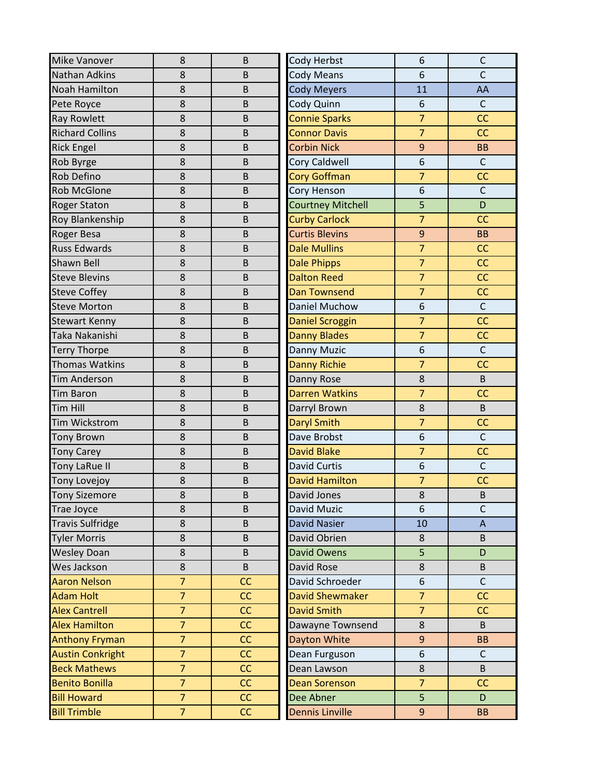| <b>Mike Vanover</b>     | 8              | B       | Cody Herbst              | 6                | C              |
|-------------------------|----------------|---------|--------------------------|------------------|----------------|
| <b>Nathan Adkins</b>    | 8              | B       | <b>Cody Means</b>        | 6                | $\overline{C}$ |
| <b>Noah Hamilton</b>    | 8              | B       | <b>Cody Meyers</b>       | 11               | AA             |
| Pete Royce              | 8              | B       | Cody Quinn               | 6                | $\mathsf C$    |
| <b>Ray Rowlett</b>      | 8              | B       | <b>Connie Sparks</b>     | $\overline{7}$   | CC             |
| <b>Richard Collins</b>  | 8              | B       | <b>Connor Davis</b>      | $\overline{7}$   | CC             |
| <b>Rick Engel</b>       | 8              | B       | <b>Corbin Nick</b>       | 9                | <b>BB</b>      |
| Rob Byrge               | 8              | B       | Cory Caldwell            | 6                | $\mathsf{C}$   |
| Rob Defino              | 8              | B       | Cory Goffman             | $\overline{7}$   | CC             |
| <b>Rob McGlone</b>      | 8              | B       | Cory Henson              | 6                | $\mathsf{C}$   |
| <b>Roger Staton</b>     | 8              | B       | <b>Courtney Mitchell</b> | 5                | D              |
| Roy Blankenship         | 8              | B       | <b>Curby Carlock</b>     | $\overline{7}$   | CC             |
| Roger Besa              | 8              | B       | <b>Curtis Blevins</b>    | 9                | <b>BB</b>      |
| <b>Russ Edwards</b>     | 8              | B       | <b>Dale Mullins</b>      | $\overline{7}$   | CC             |
| <b>Shawn Bell</b>       | 8              | B       | <b>Dale Phipps</b>       | $\overline{7}$   | CC             |
| <b>Steve Blevins</b>    | 8              | B       | <b>Dalton Reed</b>       | $\overline{7}$   | CC             |
| <b>Steve Coffey</b>     | 8              | B       | <b>Dan Townsend</b>      | $\overline{7}$   | CC             |
| <b>Steve Morton</b>     | 8              | B       | Daniel Muchow            | 6                | $\mathsf{C}$   |
| <b>Stewart Kenny</b>    | 8              | B       | <b>Daniel Scroggin</b>   | $\overline{7}$   | CC             |
| Taka Nakanishi          | 8              | B       | <b>Danny Blades</b>      | $\overline{7}$   | CC             |
| <b>Terry Thorpe</b>     | 8              | B       | Danny Muzic              | 6                | $\mathsf{C}$   |
| Thomas Watkins          | 8              | B       | <b>Danny Richie</b>      | $\overline{7}$   | CC             |
| <b>Tim Anderson</b>     | 8              | B       | Danny Rose               | 8                | B              |
| Tim Baron               | 8              | B       | <b>Darren Watkins</b>    | $\overline{7}$   | CC             |
| Tim Hill                | 8              | B       | Darryl Brown             | 8                | B              |
| Tim Wickstrom           | 8              | B       | <b>Daryl Smith</b>       | $\overline{7}$   | CC             |
| <b>Tony Brown</b>       | 8              | B       | Dave Brobst              | 6                | $\mathsf C$    |
| <b>Tony Carey</b>       | 8              | B       | <b>David Blake</b>       | $\overline{7}$   | CC             |
| <b>Tony LaRue II</b>    | 8              | B       | <b>David Curtis</b>      | 6                | $\mathsf{C}$   |
| Tony Lovejoy            | 8              | $\sf B$ | <b>David Hamilton</b>    | $\overline{7}$   | CC             |
| <b>Tony Sizemore</b>    | 8              | B       | David Jones              | $\bf 8$          | $\sf B$        |
| Trae Joyce              | 8              | B       | David Muzic              | 6                | $\mathsf{C}$   |
| <b>Travis Sulfridge</b> | 8              | B       | <b>David Nasier</b>      | 10               | $\mathsf{A}$   |
| <b>Tyler Morris</b>     | 8              | B       | David Obrien             | 8                | B              |
| <b>Wesley Doan</b>      | 8              | B       | <b>David Owens</b>       | 5                | D              |
| Wes Jackson             | 8              | B       | David Rose               | 8                | B              |
| <b>Aaron Nelson</b>     | $\overline{7}$ | CC      | David Schroeder          | 6                | $\mathsf C$    |
| <b>Adam Holt</b>        | $\overline{7}$ | CC      | <b>David Shewmaker</b>   | $\overline{7}$   | CC             |
| <b>Alex Cantrell</b>    | $\overline{7}$ | CC      | <b>David Smith</b>       | $\overline{7}$   | CC             |
| <b>Alex Hamilton</b>    | $\overline{7}$ | CC      | Dawayne Townsend         | 8                | B              |
| <b>Anthony Fryman</b>   | $\overline{7}$ | CC      | Dayton White             | $\overline{9}$   | <b>BB</b>      |
| <b>Austin Conkright</b> | $\overline{7}$ | CC      | Dean Furguson            | 6                | $\mathsf{C}$   |
| <b>Beck Mathews</b>     | $\overline{7}$ | CC      | Dean Lawson              | 8                | B              |
| <b>Benito Bonilla</b>   | $\overline{7}$ | CC      | <b>Dean Sorenson</b>     | $\overline{7}$   | CC             |
| <b>Bill Howard</b>      | $\overline{7}$ | CC      | Dee Abner                | 5                | D              |
| <b>Bill Trimble</b>     | $\overline{7}$ | CC      | <b>Dennis Linville</b>   | $\boldsymbol{9}$ | <b>BB</b>      |
|                         |                |         |                          |                  |                |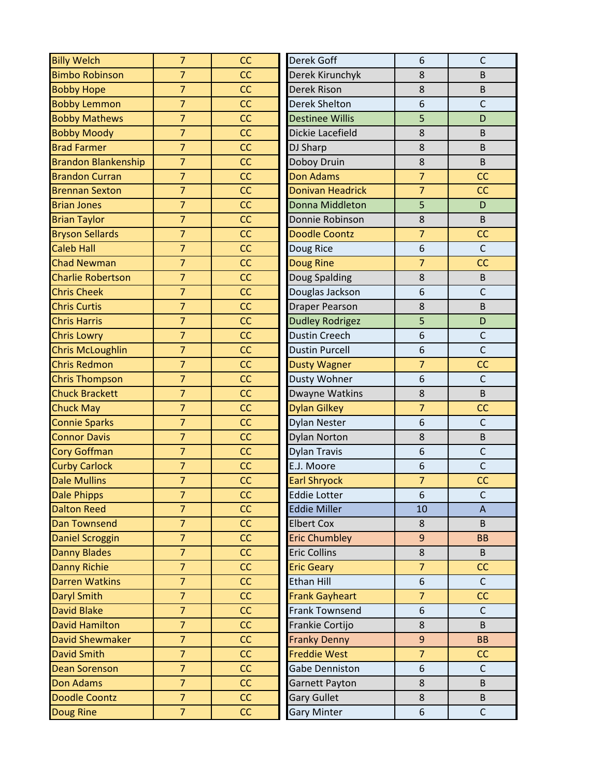| <b>Billy Welch</b>         | $\overline{7}$ | CC | Derek Goff              | 6                | C            |
|----------------------------|----------------|----|-------------------------|------------------|--------------|
| <b>Bimbo Robinson</b>      | $\overline{7}$ | CC | Derek Kirunchyk         | 8                | B            |
| <b>Bobby Hope</b>          | $\overline{7}$ | CC | Derek Rison             | 8                | B            |
| <b>Bobby Lemmon</b>        | $\overline{7}$ | CC | Derek Shelton           | 6                | $\mathsf{C}$ |
| <b>Bobby Mathews</b>       | $\overline{7}$ | CC | <b>Destinee Willis</b>  | 5                | D            |
| <b>Bobby Moody</b>         | $\overline{7}$ | CC | Dickie Lacefield        | 8                | B            |
| <b>Brad Farmer</b>         | $\overline{7}$ | CC | DJ Sharp                | 8                | B            |
| <b>Brandon Blankenship</b> | $\overline{7}$ | CC | Doboy Druin             | 8                | B            |
| <b>Brandon Curran</b>      | $\overline{7}$ | CC | <b>Don Adams</b>        | $\overline{7}$   | CC           |
| <b>Brennan Sexton</b>      | $\overline{7}$ | CC | <b>Donivan Headrick</b> | $\overline{7}$   | CC           |
| <b>Brian Jones</b>         | $\overline{7}$ | CC | Donna Middleton         | 5                | D            |
| <b>Brian Taylor</b>        | $\overline{7}$ | CC | Donnie Robinson         | 8                | B            |
| <b>Bryson Sellards</b>     | $\overline{7}$ | CC | <b>Doodle Coontz</b>    | $\overline{7}$   | CC           |
| <b>Caleb Hall</b>          | $\overline{7}$ | CC | Doug Rice               | 6                | $\mathsf{C}$ |
| <b>Chad Newman</b>         | $\overline{7}$ | CC | <b>Doug Rine</b>        | $\overline{7}$   | CC           |
| <b>Charlie Robertson</b>   | $\overline{7}$ | CC | Doug Spalding           | 8                | B            |
| <b>Chris Cheek</b>         | $\overline{7}$ | CC | Douglas Jackson         | 6                | $\mathsf{C}$ |
| <b>Chris Curtis</b>        | $\overline{7}$ | CC | <b>Draper Pearson</b>   | 8                | B            |
| <b>Chris Harris</b>        | $\overline{7}$ | CC | <b>Dudley Rodrigez</b>  | 5                | D            |
| <b>Chris Lowry</b>         | $\overline{7}$ | CC | <b>Dustin Creech</b>    | 6                | $\mathsf{C}$ |
| <b>Chris McLoughlin</b>    | $\overline{7}$ | CC | <b>Dustin Purcell</b>   | 6                | $\mathsf{C}$ |
| <b>Chris Redmon</b>        | $\overline{7}$ | CC | <b>Dusty Wagner</b>     | $\overline{7}$   | CC           |
| <b>Chris Thompson</b>      | $\overline{7}$ | CC | Dusty Wohner            | 6                | $\mathsf{C}$ |
| <b>Chuck Brackett</b>      | $\overline{7}$ | CC | Dwayne Watkins          | 8                | B            |
| <b>Chuck May</b>           | $\overline{7}$ | CC | <b>Dylan Gilkey</b>     | $\overline{7}$   | CC           |
| <b>Connie Sparks</b>       | $\overline{7}$ | CC | <b>Dylan Nester</b>     | $\boldsymbol{6}$ | $\mathsf{C}$ |
| <b>Connor Davis</b>        | $\overline{7}$ | CC | <b>Dylan Norton</b>     | 8                | B            |
| <b>Cory Goffman</b>        | $\overline{7}$ | CC | <b>Dylan Travis</b>     | 6                | $\mathsf{C}$ |
| <b>Curby Carlock</b>       | $\overline{7}$ | CC | E.J. Moore              | 6                | $\mathsf{C}$ |
| <b>Dale Mullins</b>        | $\overline{7}$ | CC | <b>Earl Shryock</b>     | $\overline{7}$   | CC           |
| Dale Phipps                | $\overline{7}$ | CC | Eddie Lotter            | 6                | $\mathsf C$  |
| <b>Dalton Reed</b>         | $\overline{7}$ | CC | <b>Eddie Miller</b>     | 10               | $\mathsf{A}$ |
| <b>Dan Townsend</b>        | $\overline{7}$ | CC | <b>Elbert Cox</b>       | 8                | B            |
| <b>Daniel Scroggin</b>     | $\overline{7}$ | CC | <b>Eric Chumbley</b>    | 9                | <b>BB</b>    |
| <b>Danny Blades</b>        | $\overline{7}$ | CC | <b>Eric Collins</b>     | 8                | B            |
| <b>Danny Richie</b>        | $\overline{7}$ | CC | <b>Eric Geary</b>       | $\overline{7}$   | CC           |
| <b>Darren Watkins</b>      | $\overline{7}$ | CC | <b>Ethan Hill</b>       | 6                | $\mathsf{C}$ |
| <b>Daryl Smith</b>         | $\overline{7}$ | CC | <b>Frank Gayheart</b>   | $\overline{7}$   | CC           |
| <b>David Blake</b>         | $\overline{7}$ | CC | Frank Townsend          | 6                | $\mathsf{C}$ |
| <b>David Hamilton</b>      | $\overline{7}$ | CC | Frankie Cortijo         | 8                | B            |
| <b>David Shewmaker</b>     | $\overline{7}$ | CC | <b>Franky Denny</b>     | $\overline{9}$   | <b>BB</b>    |
| <b>David Smith</b>         | $\overline{7}$ | CC | <b>Freddie West</b>     | $\overline{7}$   | CC           |
| <b>Dean Sorenson</b>       | $\overline{7}$ | CC | Gabe Denniston          | 6                | $\mathsf{C}$ |
| <b>Don Adams</b>           | $\overline{7}$ | CC | <b>Garnett Payton</b>   | 8                | B            |
| <b>Doodle Coontz</b>       | $\overline{7}$ | CC | <b>Gary Gullet</b>      | $\bf 8$          | B            |
| <b>Doug Rine</b>           | $\overline{7}$ | CC | <b>Gary Minter</b>      | $\boldsymbol{6}$ | $\mathsf{C}$ |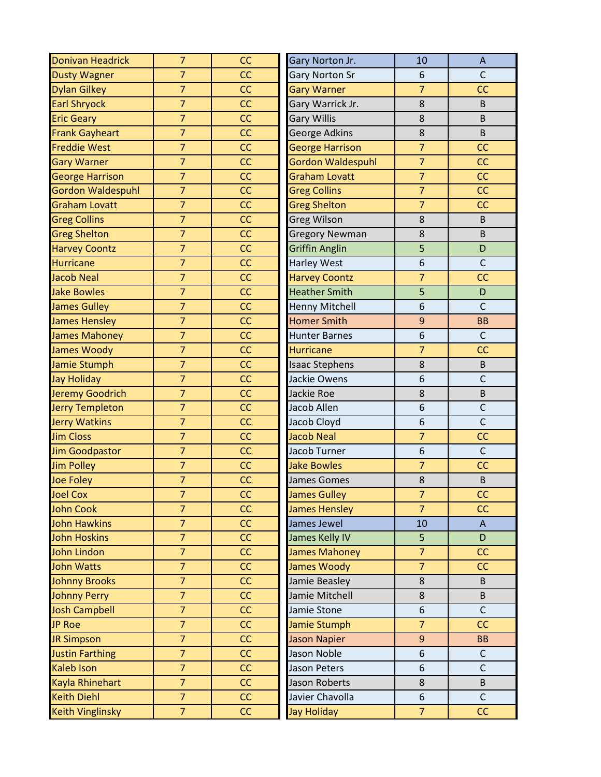| <b>Donivan Headrick</b>  | $\overline{7}$ | CC | Gary Norton Jr.          | 10             | $\boldsymbol{\mathsf{A}}$ |
|--------------------------|----------------|----|--------------------------|----------------|---------------------------|
| <b>Dusty Wagner</b>      | $\overline{7}$ | CC | <b>Gary Norton Sr</b>    | 6              | $\mathsf{C}$              |
| <b>Dylan Gilkey</b>      | $\overline{7}$ | CC | <b>Gary Warner</b>       | $\overline{7}$ | CC                        |
| <b>Earl Shryock</b>      | $\overline{7}$ | CC | Gary Warrick Jr.         | 8              | B                         |
| <b>Eric Geary</b>        | $\overline{7}$ | CC | <b>Gary Willis</b>       | 8              | B                         |
| <b>Frank Gayheart</b>    | $\overline{7}$ | CC | George Adkins            | 8              | B                         |
| <b>Freddie West</b>      | $\overline{7}$ | CC | <b>George Harrison</b>   | $\overline{7}$ | CC                        |
| <b>Gary Warner</b>       | $\overline{7}$ | CC | <b>Gordon Waldespuhl</b> | $\overline{7}$ | CC                        |
| <b>George Harrison</b>   | $\overline{7}$ | CC | <b>Graham Lovatt</b>     | $\overline{7}$ | CC                        |
| <b>Gordon Waldespuhl</b> | $\overline{7}$ | CC | <b>Greg Collins</b>      | $\overline{7}$ | CC                        |
| <b>Graham Lovatt</b>     | $\overline{7}$ | CC | <b>Greg Shelton</b>      | $\overline{7}$ | CC                        |
| <b>Greg Collins</b>      | $\overline{7}$ | CC | <b>Greg Wilson</b>       | 8              | B                         |
| <b>Greg Shelton</b>      | $\overline{7}$ | CC | <b>Gregory Newman</b>    | 8              | B                         |
| <b>Harvey Coontz</b>     | $\overline{7}$ | CC | <b>Griffin Anglin</b>    | 5              | D                         |
| <b>Hurricane</b>         | $\overline{7}$ | CC | Harley West              | 6              | $\mathsf C$               |
| <b>Jacob Neal</b>        | $\overline{7}$ | CC | <b>Harvey Coontz</b>     | $\overline{7}$ | CC                        |
| <b>Jake Bowles</b>       | $\overline{7}$ | CC | <b>Heather Smith</b>     | 5              | D                         |
| <b>James Gulley</b>      | $\overline{7}$ | CC | <b>Henny Mitchell</b>    | 6              | $\mathsf{C}$              |
| James Hensley            | $\overline{7}$ | CC | <b>Homer Smith</b>       | 9              | <b>BB</b>                 |
| James Mahoney            | $\overline{7}$ | CC | <b>Hunter Barnes</b>     | 6              | $\mathsf C$               |
| James Woody              | $\overline{7}$ | CC | <b>Hurricane</b>         | $\overline{7}$ | CC                        |
| Jamie Stumph             | $\overline{7}$ | CC | <b>Isaac Stephens</b>    | 8              | $\sf B$                   |
| Jay Holiday              | $\overline{7}$ | CC | Jackie Owens             | 6              | $\mathsf{C}$              |
| Jeremy Goodrich          | $\overline{7}$ | CC | Jackie Roe               | 8              | B                         |
| Jerry Templeton          | $\overline{7}$ | CC | Jacob Allen              | 6              | $\mathsf{C}$              |
| <b>Jerry Watkins</b>     | $\overline{7}$ | CC | Jacob Cloyd              | 6              | $\mathsf{C}$              |
| <b>Jim Closs</b>         | $\overline{7}$ | CC | <b>Jacob Neal</b>        | $\overline{7}$ | cc                        |
| <b>Jim Goodpastor</b>    | $\overline{7}$ | CC | Jacob Turner             | 6              | $\mathsf C$               |
| <b>Jim Polley</b>        | $\overline{7}$ | CC | <b>Jake Bowles</b>       | $\overline{7}$ | CC                        |
| Joe Foley                | $\overline{7}$ | CC | James Gomes              | 8              | B                         |
| Joel Cox                 | $\overline{7}$ | CC | <b>James Gulley</b>      | $\overline{7}$ | CC                        |
| <b>John Cook</b>         | $\overline{7}$ | CC | <b>James Hensley</b>     | $\overline{7}$ | CC                        |
| <b>John Hawkins</b>      | $\overline{7}$ | CC | James Jewel              | 10             | $\mathsf{A}$              |
| <b>John Hoskins</b>      | $\overline{7}$ | CC | James Kelly IV           | 5              | D                         |
| John Lindon              | $\overline{7}$ | CC | <b>James Mahoney</b>     | $\overline{7}$ | CC                        |
| <b>John Watts</b>        | $\overline{7}$ | CC | James Woody              | $\overline{7}$ | CC                        |
| <b>Johnny Brooks</b>     | $\overline{7}$ | CC | Jamie Beasley            | 8              | B                         |
| <b>Johnny Perry</b>      | $\overline{7}$ | CC | Jamie Mitchell           | 8              | B                         |
| <b>Josh Campbell</b>     | $\overline{7}$ | CC | Jamie Stone              | 6              | $\mathsf{C}$              |
| <b>JP Roe</b>            | $\overline{7}$ | CC | Jamie Stumph             | $\overline{7}$ | CC                        |
| <b>JR Simpson</b>        | $\overline{7}$ | CC | <b>Jason Napier</b>      | 9              | <b>BB</b>                 |
| <b>Justin Farthing</b>   | $\overline{7}$ | CC | Jason Noble              | 6              | $\mathsf{C}$              |
| Kaleb Ison               | $\overline{7}$ | CC | Jason Peters             | 6              | $\mathsf{C}$              |
| Kayla Rhinehart          | $\overline{7}$ | CC | Jason Roberts            | 8              | B                         |
| <b>Keith Diehl</b>       | $\overline{7}$ | CC | Javier Chavolla          | 6              | $\mathsf{C}$              |
| <b>Keith Vinglinsky</b>  | 7 <sup>7</sup> | CC | <b>Jay Holiday</b>       | $\overline{7}$ | CC                        |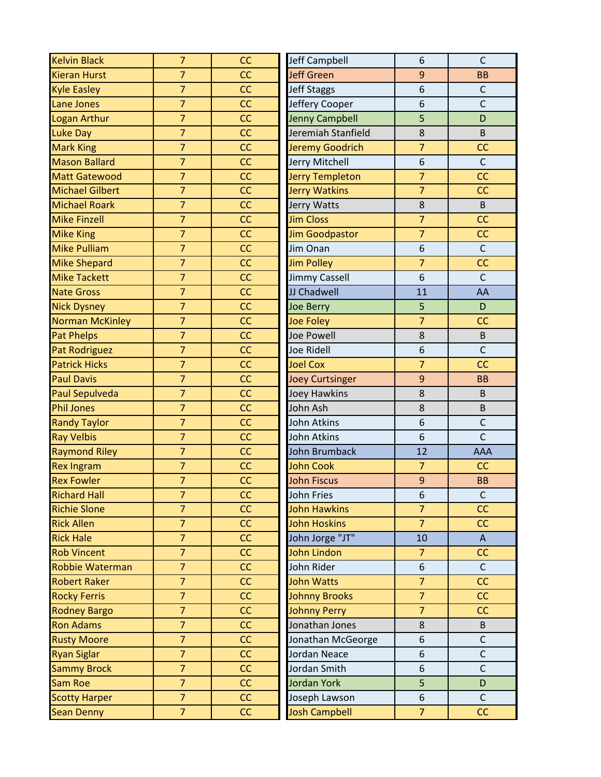| <b>Kelvin Black</b>    | $\overline{7}$ | CC | Jeff Campbell          | 6                | $\mathsf{C}$   |
|------------------------|----------------|----|------------------------|------------------|----------------|
| <b>Kieran Hurst</b>    | $\overline{7}$ | CC | <b>Jeff Green</b>      | 9                | <b>BB</b>      |
| <b>Kyle Easley</b>     | $\overline{7}$ | CC | Jeff Staggs            | 6                | $\mathsf C$    |
| Lane Jones             | $\overline{7}$ | CC | Jeffery Cooper         | 6                | $\overline{C}$ |
| <b>Logan Arthur</b>    | $\overline{7}$ | CC | <b>Jenny Campbell</b>  | 5                | D              |
| Luke Day               | $\overline{7}$ | CC | Jeremiah Stanfield     | 8                | B              |
| <b>Mark King</b>       | $\overline{7}$ | CC | <b>Jeremy Goodrich</b> | $\overline{7}$   | CC             |
| <b>Mason Ballard</b>   | $\overline{7}$ | CC | Jerry Mitchell         | 6                | $\mathsf{C}$   |
| <b>Matt Gatewood</b>   | $\overline{7}$ | CC | <b>Jerry Templeton</b> | $\overline{7}$   | CC             |
| Michael Gilbert        | $\overline{7}$ | CC | <b>Jerry Watkins</b>   | $\overline{7}$   | CC             |
| <b>Michael Roark</b>   | $\overline{7}$ | CC | Jerry Watts            | 8                | B              |
| <b>Mike Finzell</b>    | $\overline{7}$ | CC | <b>Jim Closs</b>       | $\overline{7}$   | CC             |
| <b>Mike King</b>       | $\overline{7}$ | CC | <b>Jim Goodpastor</b>  | $\overline{7}$   | CC             |
| <b>Mike Pulliam</b>    | $\overline{7}$ | CC | Jim Onan               | 6                | $\mathsf{C}$   |
| <b>Mike Shepard</b>    | $\overline{7}$ | CC | <b>Jim Polley</b>      | $\overline{7}$   | CC             |
| <b>Mike Tackett</b>    | $\overline{7}$ | CC | <b>Jimmy Cassell</b>   | 6                | $\mathsf{C}$   |
| <b>Nate Gross</b>      | $\overline{7}$ | CC | JJ Chadwell            | 11               | AA             |
| <b>Nick Dysney</b>     | $\overline{7}$ | CC | Joe Berry              | 5                | D              |
| <b>Norman McKinley</b> | $\overline{7}$ | CC | Joe Foley              | $\overline{7}$   | CC             |
| <b>Pat Phelps</b>      | $\overline{7}$ | CC | Joe Powell             | 8                | B              |
| Pat Rodriguez          | $\overline{7}$ | CC | <b>Joe Ridell</b>      | 6                | $\mathsf{C}$   |
| <b>Patrick Hicks</b>   | $\overline{7}$ | CC | <b>Joel Cox</b>        | $\overline{7}$   | CC             |
| <b>Paul Davis</b>      | $\overline{7}$ | CC | <b>Joey Curtsinger</b> | 9                | <b>BB</b>      |
| <b>Paul Sepulveda</b>  | $\overline{7}$ | CC | <b>Joey Hawkins</b>    | 8                | B              |
| <b>Phil Jones</b>      | $\overline{7}$ | CC | John Ash               | 8                | B              |
| <b>Randy Taylor</b>    | $\overline{7}$ | CC | <b>John Atkins</b>     | 6                | $\mathsf{C}$   |
| <b>Ray Velbis</b>      | $\overline{7}$ | CC | John Atkins            | 6                | $\mathsf{C}$   |
| <b>Raymond Riley</b>   | $\overline{7}$ | CC | <b>John Brumback</b>   | 12               | AAA            |
| <b>Rex Ingram</b>      | $\overline{7}$ | CC | <b>John Cook</b>       | $\overline{7}$   | CC             |
| <b>Rex Fowler</b>      | $\overline{7}$ | CC | <b>John Fiscus</b>     | $\boldsymbol{9}$ | <b>BB</b>      |
| <b>Richard Hall</b>    | $\overline{7}$ | CC | John Fries             | 6                | $\mathsf{C}$   |
| <b>Richie Slone</b>    | $\overline{7}$ | CC | <b>John Hawkins</b>    | $\overline{7}$   | CC             |
| <b>Rick Allen</b>      | $\overline{7}$ | CC | <b>John Hoskins</b>    | $\overline{7}$   | CC             |
| <b>Rick Hale</b>       | $\overline{7}$ | CC | John Jorge "JT"        | 10               | $\mathsf{A}$   |
| <b>Rob Vincent</b>     | $\overline{7}$ | CC | <b>John Lindon</b>     | $\overline{7}$   | CC             |
| Robbie Waterman        | $\overline{7}$ | CC | John Rider             | 6                | $\mathsf{C}$   |
| <b>Robert Raker</b>    | $\overline{7}$ | CC | <b>John Watts</b>      | $\overline{7}$   | CC             |
| <b>Rocky Ferris</b>    | $\overline{7}$ | CC | <b>Johnny Brooks</b>   | $\overline{7}$   | CC             |
| <b>Rodney Bargo</b>    | $\overline{7}$ | CC | <b>Johnny Perry</b>    | $\overline{7}$   | CC             |
| <b>Ron Adams</b>       | $\overline{7}$ | CC | Jonathan Jones         | 8                | B              |
| <b>Rusty Moore</b>     | $\overline{7}$ | CC | Jonathan McGeorge      | 6                | $\mathsf{C}$   |
| <b>Ryan Siglar</b>     | $\overline{7}$ | CC | Jordan Neace           | 6                | $\mathsf{C}$   |
| <b>Sammy Brock</b>     | $\overline{7}$ | CC | Jordan Smith           | 6                | $\mathsf{C}$   |
| Sam Roe                | $\overline{7}$ | CC | <b>Jordan York</b>     | 5                | D              |
| <b>Scotty Harper</b>   | $\overline{7}$ | CC | Joseph Lawson          | 6                | $\mathsf{C}$   |
| <b>Sean Denny</b>      | $\overline{7}$ | CC | <b>Josh Campbell</b>   | $\overline{7}$   | CC             |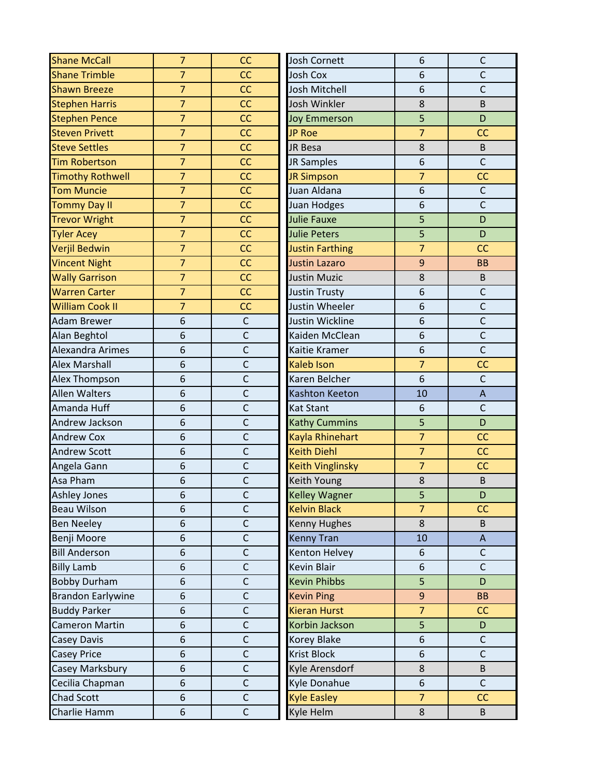| <b>Shane McCall</b>      | $\overline{7}$ | CC           | <b>Josh Cornett</b>     | 6                | C                         |
|--------------------------|----------------|--------------|-------------------------|------------------|---------------------------|
| <b>Shane Trimble</b>     | $\overline{7}$ | CC           | <b>Josh Cox</b>         | 6                | $\overline{C}$            |
| <b>Shawn Breeze</b>      | $\overline{7}$ | cc           | Josh Mitchell           | 6                | $\mathsf{C}$              |
| <b>Stephen Harris</b>    | $\overline{7}$ | CC           | Josh Winkler            | 8                | B                         |
| <b>Stephen Pence</b>     | $\overline{7}$ | CC           | <b>Joy Emmerson</b>     | 5                | D                         |
| <b>Steven Privett</b>    | $\overline{7}$ | CC           | <b>JP Roe</b>           | $\overline{7}$   | CC                        |
| <b>Steve Settles</b>     | $\overline{7}$ | CC           | JR Besa                 | 8                | B                         |
| <b>Tim Robertson</b>     | $\overline{7}$ | CC           | JR Samples              | 6                | $\mathsf{C}$              |
| <b>Timothy Rothwell</b>  | $\overline{7}$ | CC           | <b>JR Simpson</b>       | $\overline{7}$   | CC                        |
| <b>Tom Muncie</b>        | $\overline{7}$ | CC           | Juan Aldana             | 6                | $\mathsf{C}$              |
| <b>Tommy Day II</b>      | $\overline{7}$ | CC           | <b>Juan Hodges</b>      | 6                | $\mathsf{C}$              |
| <b>Trevor Wright</b>     | $\overline{7}$ | CC           | Julie Fauxe             | 5                | D                         |
| <b>Tyler Acey</b>        | $\overline{7}$ | CC           | <b>Julie Peters</b>     | 5                | D                         |
| Verjil Bedwin            | $\overline{7}$ | CC           | <b>Justin Farthing</b>  | $\overline{7}$   | CC                        |
| <b>Vincent Night</b>     | $\overline{7}$ | CC           | <b>Justin Lazaro</b>    | 9                | <b>BB</b>                 |
| <b>Wally Garrison</b>    | $\overline{7}$ | cc           | <b>Justin Muzic</b>     | 8                | B                         |
| <b>Warren Carter</b>     | $\overline{7}$ | CC           | <b>Justin Trusty</b>    | 6                | $\mathsf C$               |
| <b>William Cook II</b>   | $\overline{7}$ | CC           | Justin Wheeler          | 6                | $\mathsf{C}$              |
| Adam Brewer              | 6              | $\mathsf{C}$ | Justin Wickline         | 6                | $\overline{C}$            |
| Alan Beghtol             | 6              | $\mathsf C$  | Kaiden McClean          | 6                | $\mathsf{C}$              |
| Alexandra Arimes         | 6              | $\mathsf{C}$ | Kaitie Kramer           | 6                | $\overline{C}$            |
| <b>Alex Marshall</b>     | 6              | $\mathsf{C}$ | <b>Kaleb Ison</b>       | $\overline{7}$   | CC                        |
| Alex Thompson            | 6              | $\mathsf{C}$ | Karen Belcher           | 6                | $\mathsf{C}$              |
| <b>Allen Walters</b>     | 6              | $\mathsf{C}$ | <b>Kashton Keeton</b>   | 10               | $\boldsymbol{\mathsf{A}}$ |
| Amanda Huff              | 6              | $\mathsf{C}$ | <b>Kat Stant</b>        | 6                | $\mathsf{C}$              |
| Andrew Jackson           | 6              | $\mathsf{C}$ | <b>Kathy Cummins</b>    | 5                | D                         |
| <b>Andrew Cox</b>        | 6              | $\mathsf C$  | Kayla Rhinehart         | $\overline{7}$   | CC                        |
| <b>Andrew Scott</b>      | 6              | $\mathsf{C}$ | <b>Keith Diehl</b>      | $\overline{7}$   | CC                        |
| Angela Gann              | 6              | $\mathsf{C}$ | <b>Keith Vinglinsky</b> | $\overline{7}$   | CC                        |
| Asa Pham                 | 6              | $\mathsf C$  | Keith Young             | $\bf 8$          | B                         |
| Ashley Jones             | 6              | $\mathsf C$  | <b>Kelley Wagner</b>    | 5                | D                         |
| Beau Wilson              | 6              | $\mathsf{C}$ | <b>Kelvin Black</b>     | $\overline{7}$   | CC                        |
| <b>Ben Neeley</b>        | 6              | $\mathsf C$  | <b>Kenny Hughes</b>     | $\,8\,$          | B                         |
| Benji Moore              | 6              | $\mathsf{C}$ | <b>Kenny Tran</b>       | 10               | $\overline{A}$            |
| <b>Bill Anderson</b>     | 6              | $\mathsf C$  | Kenton Helvey           | 6                | $\mathsf{C}$              |
| <b>Billy Lamb</b>        | 6              | $\mathsf{C}$ | <b>Kevin Blair</b>      | $\boldsymbol{6}$ | $\mathsf{C}$              |
| <b>Bobby Durham</b>      | 6              | $\mathsf C$  | <b>Kevin Phibbs</b>     | 5                | D                         |
| <b>Brandon Earlywine</b> | 6              | $\mathsf{C}$ | <b>Kevin Ping</b>       | $\overline{9}$   | <b>BB</b>                 |
| <b>Buddy Parker</b>      | 6              | C            | <b>Kieran Hurst</b>     | $\overline{7}$   | CC                        |
| Cameron Martin           | 6              | $\mathsf{C}$ | Korbin Jackson          | 5                | D                         |
| Casey Davis              | 6              | $\mathsf C$  | Korey Blake             | $\boldsymbol{6}$ | $\mathsf C$               |
| <b>Casey Price</b>       | 6              | $\mathsf{C}$ | <b>Krist Block</b>      | 6                | $\mathsf{C}$              |
| Casey Marksbury          | 6              | $\mathsf C$  | Kyle Arensdorf          | $\bf 8$          | B                         |
| Cecilia Chapman          | 6              | $\mathsf{C}$ | Kyle Donahue            | 6                | $\mathsf{C}$              |
| Chad Scott               | 6              | $\mathsf C$  | <b>Kyle Easley</b>      | $\overline{7}$   | CC                        |
| Charlie Hamm             | 6              | $\mathsf C$  | Kyle Helm               | $\bf 8$          | B                         |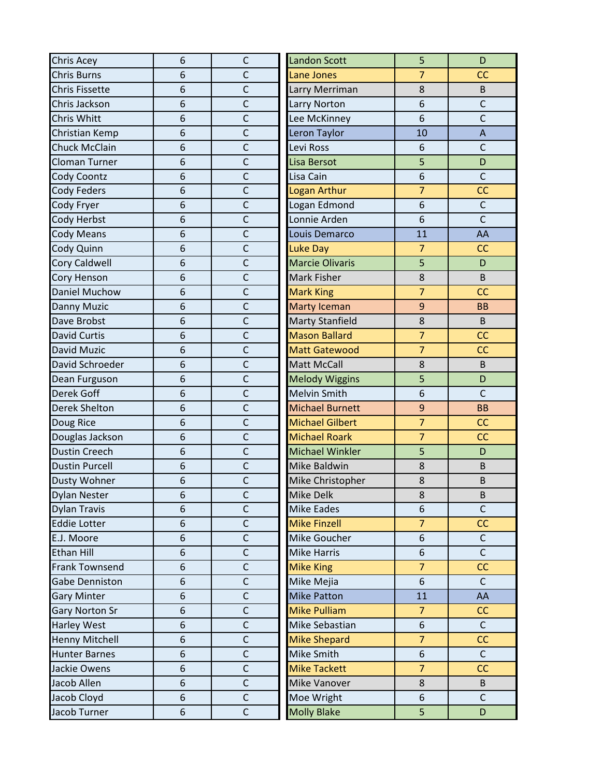| Chris Acey            | 6 | $\mathsf{C}$   | <b>Landon Scott</b>    | 5                | D            |
|-----------------------|---|----------------|------------------------|------------------|--------------|
| <b>Chris Burns</b>    | 6 | $\mathsf{C}$   | <b>Lane Jones</b>      | $\overline{7}$   | CC           |
| <b>Chris Fissette</b> | 6 | $\mathsf{C}$   | Larry Merriman         | 8                | B            |
| Chris Jackson         | 6 | $\overline{C}$ | Larry Norton           | 6                | $\mathsf{C}$ |
| Chris Whitt           | 6 | $\mathsf{C}$   | Lee McKinney           | 6                | $\mathsf{C}$ |
| Christian Kemp        | 6 | $\mathsf{C}$   | Leron Taylor           | 10               | $\mathsf A$  |
| <b>Chuck McClain</b>  | 6 | $\mathsf{C}$   | Levi Ross              | 6                | $\mathsf{C}$ |
| <b>Cloman Turner</b>  | 6 | $\mathsf{C}$   | Lisa Bersot            | 5                | D            |
| <b>Cody Coontz</b>    | 6 | $\mathsf{C}$   | Lisa Cain              | 6                | $\mathsf{C}$ |
| <b>Cody Feders</b>    | 6 | $\overline{C}$ | <b>Logan Arthur</b>    | $\overline{7}$   | CC           |
| Cody Fryer            | 6 | $\mathsf{C}$   | Logan Edmond           | 6                | $\mathsf{C}$ |
| Cody Herbst           | 6 | $\mathsf{C}$   | Lonnie Arden           | 6                | $\mathsf{C}$ |
| <b>Cody Means</b>     | 6 | $\mathsf{C}$   | Louis Demarco          | 11               | AA           |
| Cody Quinn            | 6 | $\mathsf{C}$   | <b>Luke Day</b>        | $\overline{7}$   | CC           |
| Cory Caldwell         | 6 | $\mathsf{C}$   | <b>Marcie Olivaris</b> | 5                | D            |
| Cory Henson           | 6 | $\mathsf{C}$   | Mark Fisher            | 8                | B            |
| Daniel Muchow         | 6 | $\mathsf{C}$   | <b>Mark King</b>       | $\overline{7}$   | CC           |
| Danny Muzic           | 6 | $\mathsf{C}$   | <b>Marty Iceman</b>    | 9                | <b>BB</b>    |
| Dave Brobst           | 6 | $\mathsf{C}$   | <b>Marty Stanfield</b> | 8                | B            |
| <b>David Curtis</b>   | 6 | $\mathsf{C}$   | <b>Mason Ballard</b>   | $\overline{7}$   | CC           |
| David Muzic           | 6 | $\mathsf{C}$   | <b>Matt Gatewood</b>   | $\overline{7}$   | CC           |
| David Schroeder       | 6 | $\mathsf{C}$   | Matt McCall            | 8                | B            |
| Dean Furguson         | 6 | $\overline{C}$ | <b>Melody Wiggins</b>  | 5                | D            |
| Derek Goff            | 6 | $\mathsf{C}$   | <b>Melvin Smith</b>    | 6                | $\mathsf{C}$ |
| Derek Shelton         | 6 | $\mathsf{C}$   | <b>Michael Burnett</b> | 9                | <b>BB</b>    |
| Doug Rice             | 6 | $\mathsf{C}$   | <b>Michael Gilbert</b> | $\overline{7}$   | CC           |
| Douglas Jackson       | 6 | $\mathsf{C}$   | <b>Michael Roark</b>   | $\overline{7}$   | CC           |
| <b>Dustin Creech</b>  | 6 | $\mathsf{C}$   | <b>Michael Winkler</b> | 5                | D            |
| <b>Dustin Purcell</b> | 6 | $\mathsf{C}$   | Mike Baldwin           | 8                | B            |
| <b>Dusty Wohner</b>   | 6 | $\mathsf{C}$   | Mike Christopher       | 8                | B            |
| <b>Dylan Nester</b>   | 6 | $\mathsf C$    | Mike Delk              | 8                | $\sf B$      |
| <b>Dylan Travis</b>   | 6 | $\mathsf C$    | Mike Eades             | 6                | $\mathsf C$  |
| <b>Eddie Lotter</b>   | 6 | $\mathsf{C}$   | <b>Mike Finzell</b>    | $\overline{7}$   | CC           |
| E.J. Moore            | 6 | $\mathsf C$    | Mike Goucher           | 6                | $\mathsf{C}$ |
| <b>Ethan Hill</b>     | 6 | $\mathsf C$    | <b>Mike Harris</b>     | 6                | $\mathsf{C}$ |
| Frank Townsend        | 6 | $\mathsf{C}$   | <b>Mike King</b>       | $\overline{7}$   | CC           |
| Gabe Denniston        | 6 | $\mathsf C$    | Mike Mejia             | $6\,$            | $\mathsf{C}$ |
| <b>Gary Minter</b>    | 6 | $\mathsf{C}$   | <b>Mike Patton</b>     | 11               | AA           |
| <b>Gary Norton Sr</b> | 6 | $\mathsf C$    | <b>Mike Pulliam</b>    | $\overline{7}$   | CC           |
| <b>Harley West</b>    | 6 | $\mathsf{C}$   | Mike Sebastian         | $\boldsymbol{6}$ | $\mathsf{C}$ |
| <b>Henny Mitchell</b> | 6 | $\mathsf C$    | <b>Mike Shepard</b>    | $\overline{7}$   | CC           |
| <b>Hunter Barnes</b>  | 6 | $\mathsf{C}$   | Mike Smith             | 6                | $\mathsf{C}$ |
| Jackie Owens          | 6 | $\mathsf C$    | <b>Mike Tackett</b>    | $\overline{7}$   | CC           |
| Jacob Allen           | 6 | $\mathsf C$    | Mike Vanover           | 8                | B            |
| Jacob Cloyd           | 6 | $\mathsf C$    | Moe Wright             | $\boldsymbol{6}$ | $\mathsf{C}$ |
| Jacob Turner          | 6 | $\mathsf C$    | <b>Molly Blake</b>     | 5                | D            |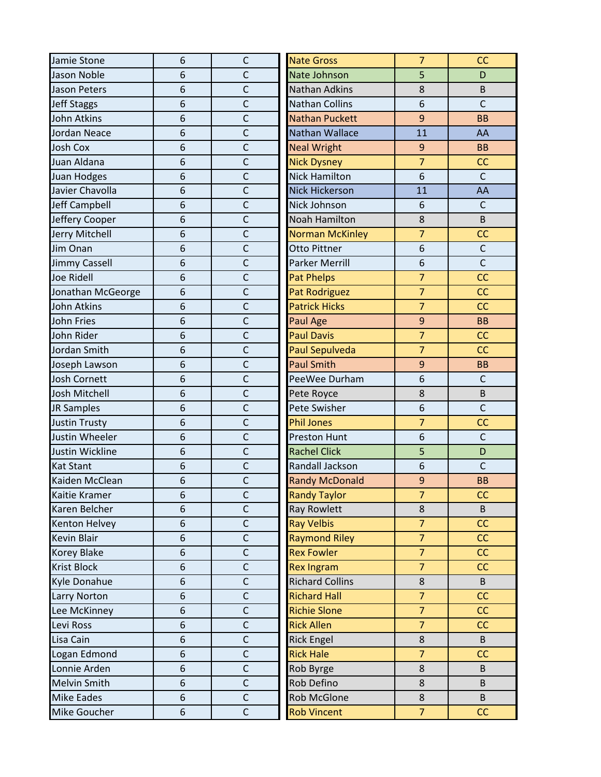| Jamie Stone          | 6                | $\mathsf{C}$   | <b>Nate Gross</b>      | $\overline{7}$           | CC             |
|----------------------|------------------|----------------|------------------------|--------------------------|----------------|
| Jason Noble          | 6                | $\mathsf{C}$   | Nate Johnson           | 5                        | D              |
| <b>Jason Peters</b>  | 6                | $\mathsf{C}$   | <b>Nathan Adkins</b>   | 8                        | B              |
| <b>Jeff Staggs</b>   | 6                | $\mathsf C$    | <b>Nathan Collins</b>  | 6                        | $\mathsf{C}$   |
| John Atkins          | 6                | $\mathsf{C}$   | <b>Nathan Puckett</b>  | 9                        | <b>BB</b>      |
| Jordan Neace         | 6                | $\mathsf{C}$   | <b>Nathan Wallace</b>  | 11                       | AA             |
| <b>Josh Cox</b>      | 6                | $\mathsf{C}$   | <b>Neal Wright</b>     | 9                        | <b>BB</b>      |
| Juan Aldana          | 6                | $\mathsf{C}$   | <b>Nick Dysney</b>     | $\overline{7}$           | CC             |
| Juan Hodges          | 6                | $\mathsf{C}$   | <b>Nick Hamilton</b>   | 6                        | $\mathsf{C}$   |
| Javier Chavolla      | 6                | $\overline{C}$ | <b>Nick Hickerson</b>  | 11                       | AA             |
| Jeff Campbell        | 6                | $\mathsf{C}$   | Nick Johnson           | 6                        | $\mathsf C$    |
| Jeffery Cooper       | 6                | $\mathsf{C}$   | <b>Noah Hamilton</b>   | 8                        | B              |
| Jerry Mitchell       | 6                | $\mathsf{C}$   | <b>Norman McKinley</b> | $\overline{7}$           | CC             |
| Jim Onan             | 6                | $\mathsf{C}$   | <b>Otto Pittner</b>    | 6                        | $\overline{C}$ |
| <b>Jimmy Cassell</b> | 6                | $\mathsf{C}$   | <b>Parker Merrill</b>  | 6                        | $\mathsf{C}$   |
| Joe Ridell           | 6                | $\mathsf{C}$   | <b>Pat Phelps</b>      | $\overline{7}$           | CC             |
| Jonathan McGeorge    | 6                | $\mathsf{C}$   | <b>Pat Rodriguez</b>   | $\overline{7}$           | CC             |
| John Atkins          | 6                | $\mathsf{C}$   | <b>Patrick Hicks</b>   | $\overline{7}$           | CC             |
| <b>John Fries</b>    | 6                | $\mathsf{C}$   | Paul Age               | 9                        | <b>BB</b>      |
| John Rider           | 6                | $\mathsf{C}$   | <b>Paul Davis</b>      | $\overline{7}$           | CC             |
| Jordan Smith         | 6                | $\mathsf{C}$   | <b>Paul Sepulveda</b>  | $\overline{7}$           | CC             |
| Joseph Lawson        | 6                | $\mathsf{C}$   | <b>Paul Smith</b>      | 9                        | <b>BB</b>      |
| <b>Josh Cornett</b>  | 6                | $\overline{C}$ | PeeWee Durham          | 6                        | $\mathsf{C}$   |
| Josh Mitchell        | 6                | $\mathsf{C}$   | Pete Royce             | 8                        | B              |
| JR Samples           | 6                | $\mathsf{C}$   | Pete Swisher           | 6                        | $\mathsf{C}$   |
| <b>Justin Trusty</b> | 6                | $\mathsf{C}$   | <b>Phil Jones</b>      | $\overline{7}$           | CC             |
| Justin Wheeler       | 6                | $\mathsf{C}$   | <b>Preston Hunt</b>    | 6                        | $\mathsf{C}$   |
| Justin Wickline      | 6                | $\mathsf{C}$   | <b>Rachel Click</b>    | 5                        | D              |
| <b>Kat Stant</b>     | 6                | $\overline{C}$ | Randall Jackson        | 6                        | $\mathsf{C}$   |
| Kaiden McClean       | 6                | $\mathsf{C}$   | <b>Randy McDonald</b>  | 9                        | <b>BB</b>      |
| Kaitie Kramer        | $\boldsymbol{6}$ | $\mathsf C$    | <b>Randy Taylor</b>    | $\overline{\mathcal{I}}$ | CC             |
| Karen Belcher        | 6                | $\mathsf C$    | <b>Ray Rowlett</b>     | 8                        | B              |
| <b>Kenton Helvey</b> | 6                | $\mathsf{C}$   | <b>Ray Velbis</b>      | $\overline{7}$           | CC             |
| Kevin Blair          | 6                | $\mathsf{C}$   | <b>Raymond Riley</b>   | $\overline{7}$           | CC             |
| <b>Korey Blake</b>   | 6                | $\mathsf C$    | <b>Rex Fowler</b>      | $\overline{7}$           | CC             |
| <b>Krist Block</b>   | 6                | $\mathsf{C}$   | <b>Rex Ingram</b>      | $\overline{7}$           | CC             |
| Kyle Donahue         | 6                | $\mathsf{C}$   | <b>Richard Collins</b> | $\bf 8$                  | B              |
| Larry Norton         | 6                | $\mathsf{C}$   | <b>Richard Hall</b>    | $\overline{7}$           | CC             |
| Lee McKinney         | 6                | $\mathsf C$    | <b>Richie Slone</b>    | $\overline{7}$           | CC             |
| Levi Ross            | 6                | $\mathsf{C}$   | <b>Rick Allen</b>      | $\overline{7}$           | CC             |
| Lisa Cain            | 6                | $\mathsf C$    | <b>Rick Engel</b>      | 8                        | B              |
| Logan Edmond         | 6                | $\mathsf{C}$   | <b>Rick Hale</b>       | $\overline{7}$           | CC             |
| Lonnie Arden         | $\boldsymbol{6}$ | $\mathsf C$    | Rob Byrge              | 8                        | B              |
| Melvin Smith         | 6                | $\mathsf C$    | Rob Defino             | 8                        | B              |
| <b>Mike Eades</b>    | $\boldsymbol{6}$ | $\mathsf C$    | Rob McGlone            | 8                        | B              |
| Mike Goucher         | 6                | $\mathsf C$    | <b>Rob Vincent</b>     | $\overline{7}$           | CC             |
|                      |                  |                |                        |                          |                |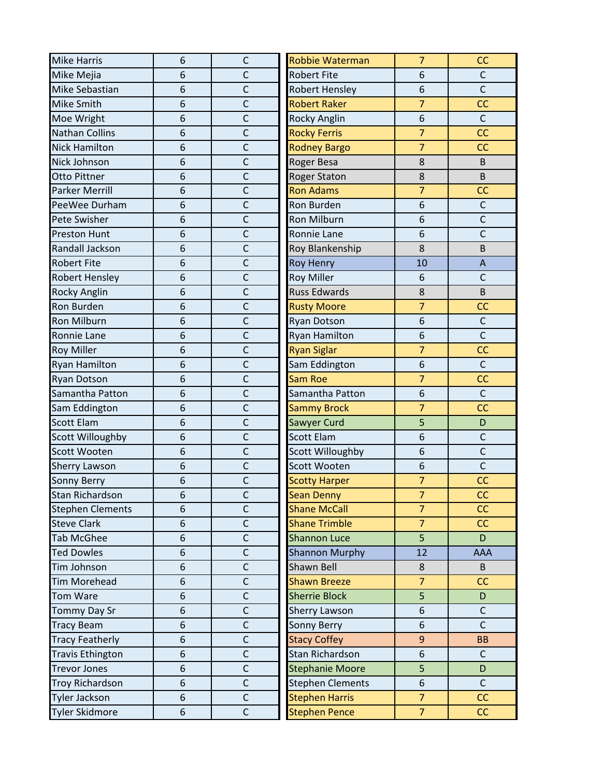| <b>Mike Harris</b>      | 6 | $\mathsf C$  | <b>Robbie Waterman</b>  | $\overline{7}$   | CC                        |
|-------------------------|---|--------------|-------------------------|------------------|---------------------------|
| Mike Mejia              | 6 | $\mathsf{C}$ | <b>Robert Fite</b>      | 6                | $\mathsf C$               |
| Mike Sebastian          | 6 | $\mathsf{C}$ | <b>Robert Hensley</b>   | 6                | $\mathsf{C}$              |
| Mike Smith              | 6 | $\mathsf{C}$ | <b>Robert Raker</b>     | $\overline{7}$   | CC                        |
| Moe Wright              | 6 | $\mathsf{C}$ | Rocky Anglin            | 6                | $\mathsf{C}$              |
| <b>Nathan Collins</b>   | 6 | $\mathsf{C}$ | <b>Rocky Ferris</b>     | $\overline{7}$   | CC                        |
| <b>Nick Hamilton</b>    | 6 | $\mathsf{C}$ | <b>Rodney Bargo</b>     | $\overline{7}$   | CC                        |
| Nick Johnson            | 6 | $\mathsf{C}$ | Roger Besa              | 8                | B                         |
| <b>Otto Pittner</b>     | 6 | $\mathsf{C}$ | <b>Roger Staton</b>     | 8                | B                         |
| <b>Parker Merrill</b>   | 6 | $\mathsf{C}$ | <b>Ron Adams</b>        | $\overline{7}$   | CC                        |
| PeeWee Durham           | 6 | $\mathsf{C}$ | Ron Burden              | 6                | $\mathsf{C}$              |
| Pete Swisher            | 6 | $\mathsf{C}$ | Ron Milburn             | 6                | $\mathsf{C}$              |
| <b>Preston Hunt</b>     | 6 | $\mathsf{C}$ | Ronnie Lane             | 6                | $\mathsf{C}$              |
| Randall Jackson         | 6 | $\mathsf{C}$ | Roy Blankenship         | 8                | B                         |
| <b>Robert Fite</b>      | 6 | $\mathsf C$  | <b>Roy Henry</b>        | 10               | $\boldsymbol{\mathsf{A}}$ |
| <b>Robert Hensley</b>   | 6 | $\mathsf{C}$ | <b>Roy Miller</b>       | 6                | $\mathsf{C}$              |
| Rocky Anglin            | 6 | $\mathsf{C}$ | <b>Russ Edwards</b>     | 8                | B                         |
| Ron Burden              | 6 | $\mathsf{C}$ | <b>Rusty Moore</b>      | $\overline{7}$   | CC                        |
| <b>Ron Milburn</b>      | 6 | $\mathsf{C}$ | <b>Ryan Dotson</b>      | 6                | $\mathsf{C}$              |
| Ronnie Lane             | 6 | $\mathsf{C}$ | <b>Ryan Hamilton</b>    | 6                | $\mathsf{C}$              |
| <b>Roy Miller</b>       | 6 | $\mathsf{C}$ | <b>Ryan Siglar</b>      | $\overline{7}$   | CC                        |
| <b>Ryan Hamilton</b>    | 6 | $\mathsf{C}$ | Sam Eddington           | 6                | $\mathsf{C}$              |
| Ryan Dotson             | 6 | $\mathsf{C}$ | Sam Roe                 | $\overline{7}$   | cc                        |
| Samantha Patton         | 6 | $\mathsf{C}$ | Samantha Patton         | 6                | $\mathsf{C}$              |
| Sam Eddington           | 6 | $\mathsf{C}$ | <b>Sammy Brock</b>      | $\overline{7}$   | cc                        |
| <b>Scott Elam</b>       | 6 | $\mathsf{C}$ | Sawyer Curd             | 5                | D                         |
| Scott Willoughby        | 6 | $\mathsf{C}$ | <b>Scott Elam</b>       | 6                | $\mathsf{C}$              |
| Scott Wooten            | 6 | $\mathsf C$  | Scott Willoughby        | 6                | $\mathsf C$               |
| Sherry Lawson           | 6 | $\mathsf{C}$ | Scott Wooten            | 6                | $\mathsf{C}$              |
| Sonny Berry             | 6 | $\mathsf{C}$ | <b>Scotty Harper</b>    | $\overline{7}$   | CC                        |
| Stan Richardson         | 6 | $\mathsf C$  | Sean Denny              | $\overline{7}$   | CC                        |
| <b>Stephen Clements</b> | 6 | $\mathsf C$  | <b>Shane McCall</b>     | $\overline{7}$   | CC                        |
| <b>Steve Clark</b>      | 6 | $\mathsf{C}$ | <b>Shane Trimble</b>    | $\overline{7}$   | CC                        |
| <b>Tab McGhee</b>       | 6 | $\mathsf C$  | <b>Shannon Luce</b>     | 5                | D                         |
| <b>Ted Dowles</b>       | 6 | $\mathsf C$  | <b>Shannon Murphy</b>   | 12               | AAA                       |
| Tim Johnson             | 6 | $\mathsf C$  | Shawn Bell              | 8                | B                         |
| <b>Tim Morehead</b>     | 6 | $\mathsf C$  | <b>Shawn Breeze</b>     | $\overline{7}$   | CC                        |
| Tom Ware                | 6 | $\mathsf{C}$ | <b>Sherrie Block</b>    | 5                | D                         |
| <b>Tommy Day Sr</b>     | 6 | $\mathsf C$  | Sherry Lawson           | 6                | $\mathsf C$               |
| <b>Tracy Beam</b>       | 6 | $\mathsf{C}$ | <b>Sonny Berry</b>      | 6                | $\mathsf{C}$              |
| <b>Tracy Featherly</b>  | 6 | C            | <b>Stacy Coffey</b>     | $\boldsymbol{9}$ | <b>BB</b>                 |
| <b>Travis Ethington</b> | 6 | $\mathsf{C}$ | Stan Richardson         | 6                | $\mathsf{C}$              |
| <b>Trevor Jones</b>     | 6 | $\mathsf C$  | <b>Stephanie Moore</b>  | 5                | D                         |
| <b>Troy Richardson</b>  | 6 | $\mathsf C$  | <b>Stephen Clements</b> | 6                | $\mathsf{C}$              |
| <b>Tyler Jackson</b>    | 6 | $\mathsf C$  | <b>Stephen Harris</b>   | $\overline{7}$   | CC                        |
| <b>Tyler Skidmore</b>   | 6 | $\mathsf C$  | <b>Stephen Pence</b>    | $\overline{7}$   | CC                        |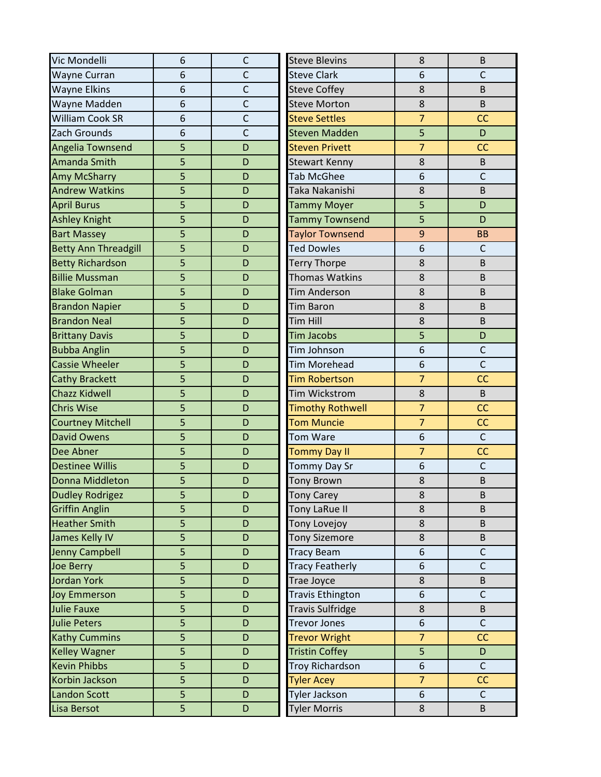| Vic Mondelli                | 6 | C            | <b>Steve Blevins</b>    | 8              | B            |
|-----------------------------|---|--------------|-------------------------|----------------|--------------|
| <b>Wayne Curran</b>         | 6 | $\mathsf{C}$ | <b>Steve Clark</b>      | 6              | $\mathsf{C}$ |
| <b>Wayne Elkins</b>         | 6 | $\mathsf{C}$ | <b>Steve Coffey</b>     | 8              | B            |
| Wayne Madden                | 6 | $\mathsf{C}$ | <b>Steve Morton</b>     | 8              | B            |
| <b>William Cook SR</b>      | 6 | $\mathsf{C}$ | <b>Steve Settles</b>    | $\overline{7}$ | CC           |
| Zach Grounds                | 6 | $\mathsf{C}$ | <b>Steven Madden</b>    | 5              | D            |
| Angelia Townsend            | 5 | D            | <b>Steven Privett</b>   | $\overline{7}$ | CC           |
| <b>Amanda Smith</b>         | 5 | D            | <b>Stewart Kenny</b>    | 8              | B            |
| Amy McSharry                | 5 | D            | <b>Tab McGhee</b>       | 6              | $\mathsf{C}$ |
| <b>Andrew Watkins</b>       | 5 | D            | Taka Nakanishi          | 8              | B            |
| <b>April Burus</b>          | 5 | D            | <b>Tammy Moyer</b>      | 5              | D            |
| <b>Ashley Knight</b>        | 5 | D            | <b>Tammy Townsend</b>   | 5              | D            |
| <b>Bart Massey</b>          | 5 | D            | <b>Taylor Townsend</b>  | 9              | <b>BB</b>    |
| <b>Betty Ann Threadgill</b> | 5 | D            | <b>Ted Dowles</b>       | 6              | $\mathsf{C}$ |
| <b>Betty Richardson</b>     | 5 | D            | <b>Terry Thorpe</b>     | 8              | B            |
| <b>Billie Mussman</b>       | 5 | D            | <b>Thomas Watkins</b>   | 8              | B            |
| <b>Blake Golman</b>         | 5 | D            | <b>Tim Anderson</b>     | 8              | B            |
| <b>Brandon Napier</b>       | 5 | D            | <b>Tim Baron</b>        | 8              | B            |
| <b>Brandon Neal</b>         | 5 | D            | <b>Tim Hill</b>         | 8              | B            |
| <b>Brittany Davis</b>       | 5 | D            | <b>Tim Jacobs</b>       | 5              | D            |
| <b>Bubba Anglin</b>         | 5 | D            | Tim Johnson             | 6              | $\mathsf{C}$ |
| <b>Cassie Wheeler</b>       | 5 | D            | <b>Tim Morehead</b>     | 6              | $\mathsf{C}$ |
| <b>Cathy Brackett</b>       | 5 | D            | <b>Tim Robertson</b>    | $\overline{7}$ | CC           |
| <b>Chazz Kidwell</b>        | 5 | D            | <b>Tim Wickstrom</b>    | 8              | B            |
| <b>Chris Wise</b>           | 5 | D            | <b>Timothy Rothwell</b> | $\overline{7}$ | CC           |
| <b>Courtney Mitchell</b>    | 5 | D            | <b>Tom Muncie</b>       | $\overline{7}$ | CC           |
| <b>David Owens</b>          | 5 | D            | Tom Ware                | 6              | $\mathsf{C}$ |
| Dee Abner                   | 5 | D            | <b>Tommy Day II</b>     | $\overline{7}$ | CC           |
| <b>Destinee Willis</b>      | 5 | D            | <b>Tommy Day Sr</b>     | 6              | $\mathsf{C}$ |
| Donna Middleton             | 5 | D            | <b>Tony Brown</b>       | 8              | B            |
| <b>Dudley Rodrigez</b>      | 5 | D            | <b>Tony Carey</b>       | 8              | B            |
| <b>Griffin Anglin</b>       | 5 | D            | <b>Tony LaRue II</b>    | 8              | B            |
| <b>Heather Smith</b>        | 5 | D            | Tony Lovejoy            | $\bf 8$        | B            |
| James Kelly IV              | 5 | D            | <b>Tony Sizemore</b>    | 8              | B            |
| <b>Jenny Campbell</b>       | 5 | D            | <b>Tracy Beam</b>       | 6              | C            |
| Joe Berry                   | 5 | D            | <b>Tracy Featherly</b>  | 6              | $\mathsf{C}$ |
| Jordan York                 | 5 | D            | Trae Joyce              | $\bf 8$        | $\sf B$      |
| <b>Joy Emmerson</b>         | 5 | D            | <b>Travis Ethington</b> | 6              | $\mathsf{C}$ |
| <b>Julie Fauxe</b>          | 5 | D            | <b>Travis Sulfridge</b> | 8              | B            |
| <b>Julie Peters</b>         | 5 | D            | <b>Trevor Jones</b>     | 6              | $\mathsf{C}$ |
| <b>Kathy Cummins</b>        | 5 | D            | <b>Trevor Wright</b>    | $\overline{7}$ | CC           |
| <b>Kelley Wagner</b>        | 5 | D            | <b>Tristin Coffey</b>   | 5              | D            |
| <b>Kevin Phibbs</b>         | 5 | D            | <b>Troy Richardson</b>  | 6              | $\mathsf{C}$ |
| Korbin Jackson              | 5 | D            | <b>Tyler Acey</b>       | $\overline{7}$ | CC           |
| Landon Scott                | 5 | D            | <b>Tyler Jackson</b>    | 6              | $\mathsf{C}$ |
| Lisa Bersot                 | 5 | D            | <b>Tyler Morris</b>     | 8              | B            |